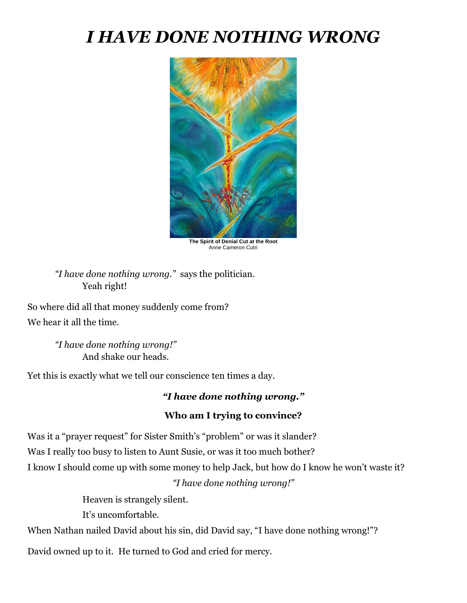## *I HAVE DONE NOTHING WRONG*



**The Spirit of Denial Cut at the Root**  Anne Cameron Cutri

*"I have done nothing wrong."* says the politician. Yeah right!

So where did all that money suddenly come from? We hear it all the time.

> *"I have done nothing wrong!"* And shake our heads.

Yet this is exactly what we tell our conscience ten times a day.

## *"I have done nothing wrong."*

## **Who am I trying to convince?**

Was it a "prayer request" for Sister Smith's "problem" or was it slander? Was I really too busy to listen to Aunt Susie, or was it too much bother? I know I should come up with some money to help Jack, but how do I know he won't waste it? *"I have done nothing wrong!"*

Heaven is strangely silent.

It's uncomfortable.

When Nathan nailed David about his sin, did David say, "I have done nothing wrong!"?

David owned up to it. He turned to God and cried for mercy.